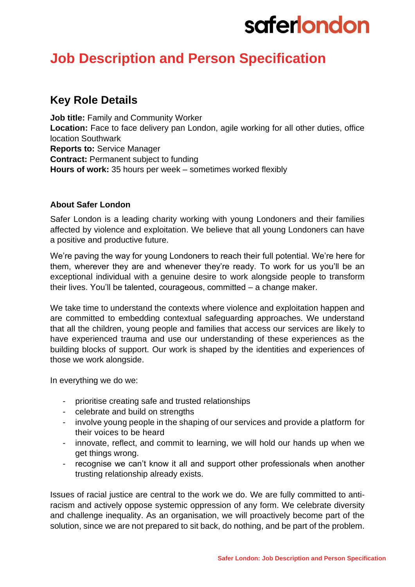### **Job Description and Person Specification**

### **Key Role Details**

**Job title:** Family and Community Worker **Location:** Face to face delivery pan London, agile working for all other duties, office location Southwark **Reports to:** Service Manager **Contract:** Permanent subject to funding **Hours of work:** 35 hours per week – sometimes worked flexibly

#### **About Safer London**

Safer London is a leading charity working with young Londoners and their families affected by violence and exploitation. We believe that all young Londoners can have a positive and productive future.

We're paving the way for young Londoners to reach their full potential. We're here for them, wherever they are and whenever they're ready. To work for us you'll be an exceptional individual with a genuine desire to work alongside people to transform their lives. You'll be talented, courageous, committed – a change maker.

We take time to understand the contexts where violence and exploitation happen and are committed to embedding contextual safeguarding approaches. We understand that all the children, young people and families that access our services are likely to have experienced trauma and use our understanding of these experiences as the building blocks of support. Our work is shaped by the identities and experiences of those we work alongside.

In everything we do we:

- prioritise creating safe and trusted relationships
- celebrate and build on strengths
- involve young people in the shaping of our services and provide a platform for their voices to be heard
- innovate, reflect, and commit to learning, we will hold our hands up when we get things wrong.
- recognise we can't know it all and support other professionals when another trusting relationship already exists.

Issues of racial justice are central to the work we do. We are fully committed to antiracism and actively oppose systemic oppression of any form. We celebrate diversity and challenge inequality. As an organisation, we will proactively become part of the solution, since we are not prepared to sit back, do nothing, and be part of the problem.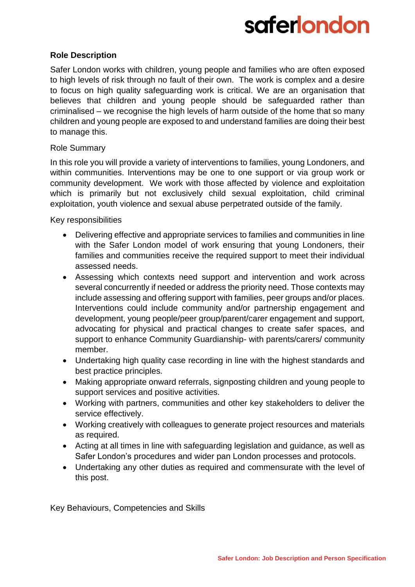#### **Role Description**

Safer London works with children, young people and families who are often exposed to high levels of risk through no fault of their own. The work is complex and a desire to focus on high quality safeguarding work is critical. We are an organisation that believes that children and young people should be safeguarded rather than criminalised – we recognise the high levels of harm outside of the home that so many children and young people are exposed to and understand families are doing their best to manage this.

#### Role Summary

In this role you will provide a variety of interventions to families, young Londoners, and within communities. Interventions may be one to one support or via group work or community development. We work with those affected by violence and exploitation which is primarily but not exclusively child sexual exploitation, child criminal exploitation, youth violence and sexual abuse perpetrated outside of the family.

Key responsibilities

- Delivering effective and appropriate services to families and communities in line with the Safer London model of work ensuring that young Londoners, their families and communities receive the required support to meet their individual assessed needs.
- Assessing which contexts need support and intervention and work across several concurrently if needed or address the priority need. Those contexts may include assessing and offering support with families, peer groups and/or places. Interventions could include community and/or partnership engagement and development, young people/peer group/parent/carer engagement and support, advocating for physical and practical changes to create safer spaces, and support to enhance Community Guardianship- with parents/carers/ community member.
- Undertaking high quality case recording in line with the highest standards and best practice principles.
- Making appropriate onward referrals, signposting children and young people to support services and positive activities.
- Working with partners, communities and other key stakeholders to deliver the service effectively.
- Working creatively with colleagues to generate project resources and materials as required.
- Acting at all times in line with safeguarding legislation and guidance, as well as Safer London's procedures and wider pan London processes and protocols.
- Undertaking any other duties as required and commensurate with the level of this post.

Key Behaviours, Competencies and Skills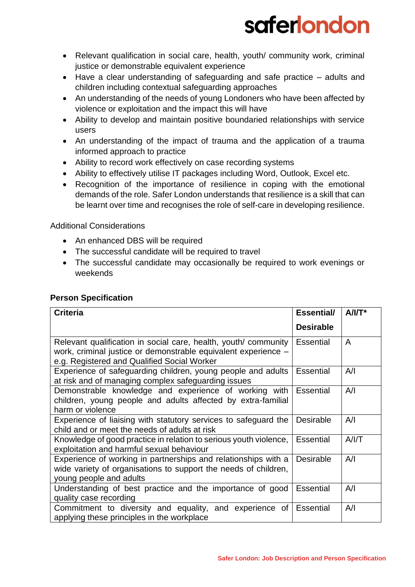- Relevant qualification in social care, health, youth/ community work, criminal justice or demonstrable equivalent experience
- Have a clear understanding of safeguarding and safe practice adults and children including contextual safeguarding approaches
- An understanding of the needs of young Londoners who have been affected by violence or exploitation and the impact this will have
- Ability to develop and maintain positive boundaried relationships with service users
- An understanding of the impact of trauma and the application of a trauma informed approach to practice
- Ability to record work effectively on case recording systems
- Ability to effectively utilise IT packages including Word, Outlook, Excel etc.
- Recognition of the importance of resilience in coping with the emotional demands of the role. Safer London understands that resilience is a skill that can be learnt over time and recognises the role of self-care in developing resilience.

Additional Considerations

- An enhanced DBS will be required
- The successful candidate will be required to travel
- The successful candidate may occasionally be required to work evenings or weekends

| <b>Criteria</b>                                                                                                                                                                  | <b>Essential/</b> | $A/IT^*$ |
|----------------------------------------------------------------------------------------------------------------------------------------------------------------------------------|-------------------|----------|
|                                                                                                                                                                                  | <b>Desirable</b>  |          |
| Relevant qualification in social care, health, youth/ community<br>work, criminal justice or demonstrable equivalent experience -<br>e.g. Registered and Qualified Social Worker | <b>Essential</b>  | A        |
| Experience of safeguarding children, young people and adults<br>at risk and of managing complex safeguarding issues                                                              | Essential         | A/I      |
| Demonstrable knowledge and experience of working with<br>children, young people and adults affected by extra-familial<br>harm or violence                                        | <b>Essential</b>  | A/I      |
| Experience of liaising with statutory services to safeguard the<br>child and or meet the needs of adults at risk                                                                 | <b>Desirable</b>  | A/I      |
| Knowledge of good practice in relation to serious youth violence,<br>exploitation and harmful sexual behaviour                                                                   | <b>Essential</b>  | A/IT     |
| Experience of working in partnerships and relationships with a<br>wide variety of organisations to support the needs of children,<br>young people and adults                     | <b>Desirable</b>  | A/I      |
| Understanding of best practice and the importance of good<br>quality case recording                                                                                              | <b>Essential</b>  | A/I      |
| Commitment to diversity and equality, and experience of<br>applying these principles in the workplace                                                                            | <b>Essential</b>  | A/I      |

#### **Person Specification**